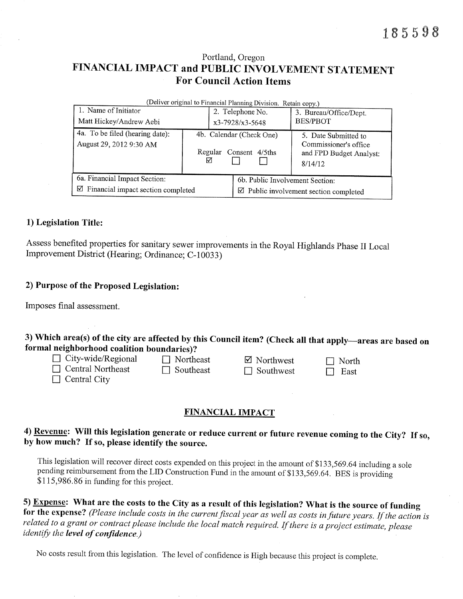# Portland, Oregon FINANCIAL IMPACT and PUBLIC INVOLVEMENT STATEMENT For Council Action Items

| (Deliver original to Financial Planning Division. Retain copy.) |              |                                                  |                                                                                     |  |  |  |  |
|-----------------------------------------------------------------|--------------|--------------------------------------------------|-------------------------------------------------------------------------------------|--|--|--|--|
| 1. Name of Initiator                                            |              | 2. Telephone No.                                 | 3. Bureau/Office/Dept.                                                              |  |  |  |  |
| Matt Hickey/Andrew Aebi                                         |              | $x3-7928/x3-5648$                                | <b>BES/PBOT</b>                                                                     |  |  |  |  |
| 4a. To be filed (hearing date):<br>August 29, 2012 9:30 AM      | Regular<br>⊻ | 4b. Calendar (Check One)<br>Consent 4/5ths       | 5. Date Submitted to<br>Commissioner's office<br>and FPD Budget Analyst:<br>8/14/12 |  |  |  |  |
| 6a. Financial Impact Section:                                   |              | 6b. Public Involvement Section:                  |                                                                                     |  |  |  |  |
| ☑<br>Financial impact section completed                         |              | $\boxtimes$ Public involvement section completed |                                                                                     |  |  |  |  |

# 1) Legislation Title:

Assess benefited properties for sanitary sewer improvements in the Royal Highlands Phase II Local Improvement District (Hearing; Ordinance; C-10033)

# 2) Purpose of the Proposed Legislation:

Imposes final assessment.

3) Which area(s) of the city are affected by this Council item? (Check all that apply—areas are based on formal neighborhood coalition boundaries)?<br>  $\Box$  City-wide/Regional  $\Box$  Northeast  $\Box$  Southeast  $\Box$  Southwest  $\Box$ 

- -
- 
- 
- 
- 
- 
- 

# FINANCIAL IMPACT

# 4) Revenue: Will this legistation generate or reduce current or future revenue coming to the City? If so, by how much? If so, please identify the source.

This legislation will recover direct costs expended on this project in the amount of \$133,569.64 including a sole pending reimbursement from the LID Construction Fund in the amount of \$133,569.64. BES is providing  $$115,986.86$  in funding for this project.

5) **Expense:** What are the costs to the City as a result of this legislation? What is the source of funding for the expense? (*Please include costs in the current fiscal year as well as costs in future years. If the actio* 

No costs result from this legislation. The level of confidence is High because this project is complete.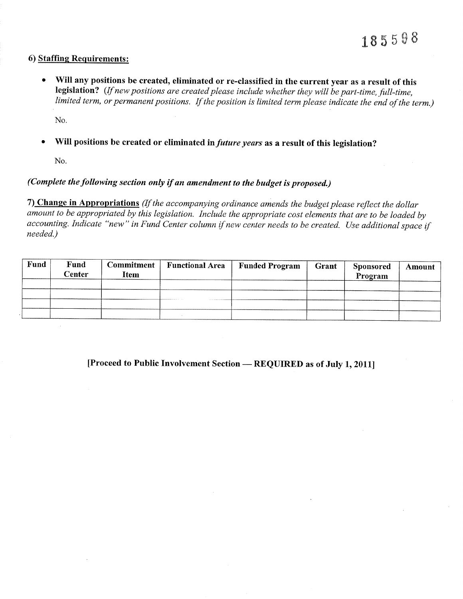#### 6) Staffing Requirements:

• Will any positions be created, eliminated or re-classified in the current year as a result of this legislation? (If new positions are created please include whether they will be part-time, full-time, limited term, or permanent positions. If the position is limited term please indicate the end of the term.)

No.

Will positions be created or eliminated in *future years* as a result of this legislation?

No.

# (Complete the following section only if an amendment to the budget is proposed.)

7) Change in Appropriations (If the accompanying ordinance amends the budget please reflect the dollar amount to be appropriated by this legislation. Include the appropriate cost elements that are to be loaded by accounting. Indicate "new" in Fund Center column if new center needs to be created. Use additional space if needed.)

| Fund | Fund<br>Center | Commitment <sup>1</sup><br><b>Item</b> | <b>Functional Area</b> | <b>Funded Program</b> | Grant | <b>Sponsored</b><br>Program | Amount |
|------|----------------|----------------------------------------|------------------------|-----------------------|-------|-----------------------------|--------|
|      |                |                                        |                        |                       |       |                             |        |
|      |                |                                        |                        |                       |       |                             |        |
|      |                |                                        |                        |                       |       |                             |        |
|      |                |                                        |                        |                       |       |                             |        |

[Proceed to Public Involvement Section – REQUIRED as of July 1, 2011]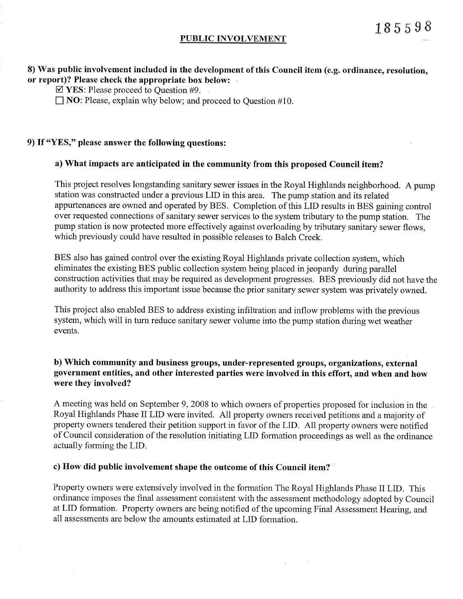#### PUBLIC INVOLVEMENT

### 8) Was public involvement included in the development of this Council item (e.g. ordinance, resolution, or report)? Please check the appropriate box below:

 $\boxtimes$  YES: Please proceed to Question #9.

 $\Box$  NO: Please, explain why below; and proceed to Ouestion #10.

#### 9) If "YES," please answer the following questions:

#### a) What impacts are anticipated in the community from this proposed Council item?

This project resolves longstanding sanitary sewer issues in the Royal Highlands neighborhood. A pump station was constructed under a previous LID in this area. The pump station and its related appurtenances are owned and operated by BES. Completion of this LID results in BES gaining control over requested connections of sanitary sewer services to the system tributary to the pump station. The pump station is now protected more effectively against overloading by tributary sanitary sewer flows, which previously could have resulted in possible releases to Balch Creek.

BES also has gained control over the existing Royal Highlands private collection system, which eliminates the existing BES public collection system being placed in jeopardy during parallel construction activities that may be required as development progresses. BES previously did not have the authority to address this important issue because the prior sanitary sewer system was privately owned.

This project also enabled BES to address existing infiltration and inflow problems with the previous system, which will in turn reduce sanitary sewer volume into the pump station during wet weather events.

# b) Which community and business groups, under-represented groups, organizations, external government entities, and other interested parties were involved in this effort, and when and how were they involved?

A meeting was held on September 9, 2008 to which owners of properties proposed for inclusion in the Royal Highlands Phase II LID were invited. All property owners received petitions and a majority of property owners tendered their petition support in favor of the LID. All property owners were notified of Council consideration of the resolution initiating LID formation proceedings as well as the ordinance actually forming the LID.

#### c) How did public involvement shape the outcome of this Council item?

Property owners were extensively involved in the formation The Royal Highlands Phase II LID. This ordinance imposes the final assessment consistent with the assessment methodology adopted by Council at LID formation. Property owners are being notified of the upcoming Final Assessment Hearing, and all assessments are below the amounts estimated at LID formation.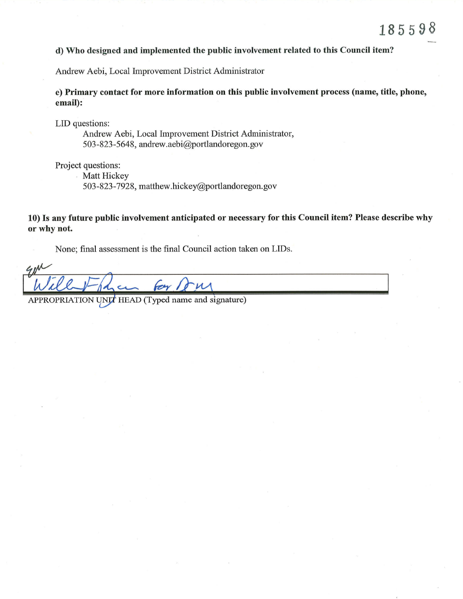#### d) Who designed and implemented the public involvement related to this Council item?

Andrew Aebi, Local Improvement District Administrator

e) Primary contact for more information on this public involvement process (name, title, phone, email):

LID questions:<br>
Andrew Aebi, Local Improvement District Administrator, 503 -823 -5648, andrew.aebi@portlandoregon. gov

Project questions:

Matt Hickey

503-823-7928, matthew.hickey@portlandoregon.gov

10) Is any future public involvement anticipated or necessary for this Council item? Please describe why or why not.

None; final assessment is the final Council action taken on LIDs.

APPROPRIATION UNIT HEAD (Typed name and signature)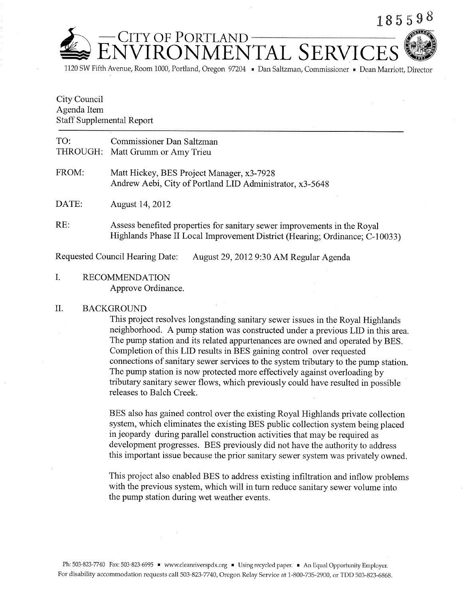

i120 SW Fifth Avenue, Room 1000, Portland, Oregon 97204 " Dan Saltzman, Commissioner " Dean Maniott, Director

# City Council Agenda Item Staff Supplemental Report

| TO:   | Commissioner Dan Saltzman<br>THROUGH: Matt Grumm or Amy Trieu                                                                                           |
|-------|---------------------------------------------------------------------------------------------------------------------------------------------------------|
| FROM: | Matt Hickey, BES Project Manager, x3-7928<br>Andrew Aebi, City of Portland LID Administrator, x3-5648                                                   |
| DATE: | August 14, 2012                                                                                                                                         |
| RE:   | Assess benefited properties for sanitary sewer improvements in the Royal<br>Highlands Phase II Local Improvement District (Hearing; Ordinance; C-10033) |

Requested Council Hearing Date: August 29,2012 9:30 AM Regular Agenda

I. RECOMMENDATION Approve Ordinance.

#### il. BACKGROUND

This project resolves longstanding sanitary sewer issues in the Royal Highlands neighborhood. A pump station was constructed under a previous LID in this area. The pump station and its related appurtenances are owned and operated by BES. Completion of this LID results in BES gaining control over requested connections of sanitary sewer services to the system tributary to the pump station. The pump station is now protected more effectively against overloading by tributary sanitary sewer flows, which previously could have resulted in possible releases to Balch Creek.

BES also has gained control over the existing Royal Highlands private collection system, which eliminates the existing BES public collection system being placed in jeopardy during parallel construction activities that may be required as development progresses. BES previously did not have the authority to address this important issue because the prior sanitary sewer system was privately owned.

This project also enabled BES to address existing infiltration and inflow problems with the previous system, which will in turn reduce sanitary sewer volume into the pump station during wet weather events.